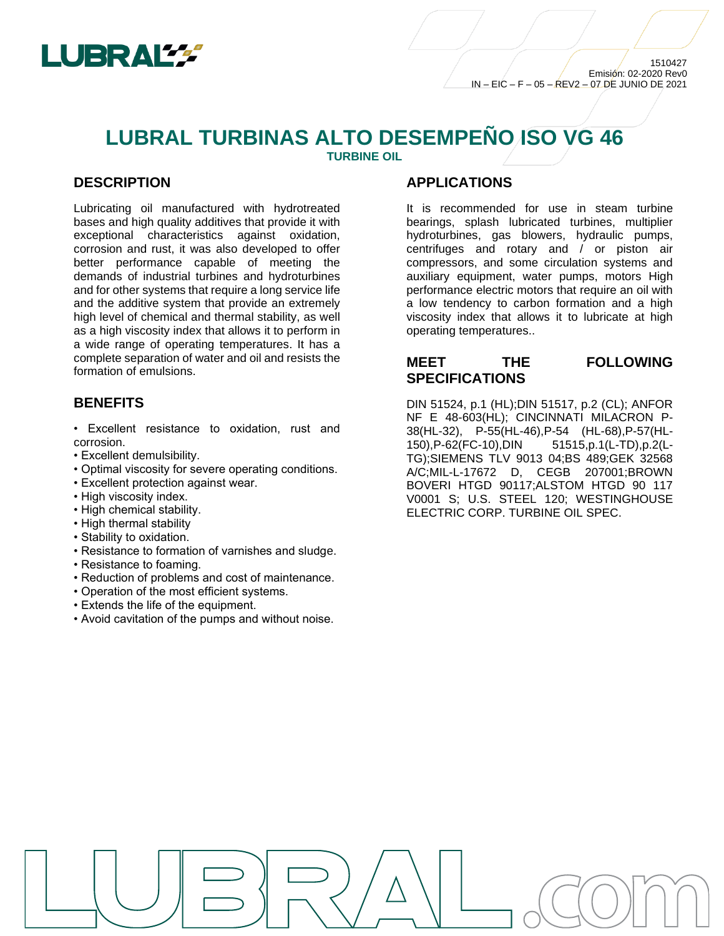

# **LUBRAL TURBINAS ALTO DESEMPEÑO ISO VG 46**

**TURBINE OIL**

# **DESCRIPTION**

Lubricating oil manufactured with hydrotreated bases and high quality additives that provide it with exceptional characteristics against oxidation, corrosion and rust, it was also developed to offer better performance capable of meeting the demands of industrial turbines and hydroturbines and for other systems that require a long service life and the additive system that provide an extremely high level of chemical and thermal stability, as well as a high viscosity index that allows it to perform in a wide range of operating temperatures. It has a complete separation of water and oil and resists the formation of emulsions.

# **BENEFITS**

- Excellent resistance to oxidation, rust and corrosion.
- Excellent demulsibility.
- Optimal viscosity for severe operating conditions.
- Excellent protection against wear.
- High viscosity index.
- High chemical stability.
- High thermal stability
- Stability to oxidation.
- Resistance to formation of varnishes and sludge.
- Resistance to foaming.
- Reduction of problems and cost of maintenance.
- Operation of the most efficient systems.
- Extends the life of the equipment.
- Avoid cavitation of the pumps and without noise.

#### **APPLICATIONS**

It is recommended for use in steam turbine bearings, splash lubricated turbines, multiplier hydroturbines, gas blowers, hydraulic pumps, centrifuges and rotary and / or piston air compressors, and some circulation systems and auxiliary equipment, water pumps, motors High performance electric motors that require an oil with a low tendency to carbon formation and a high viscosity index that allows it to lubricate at high operating temperatures..

# **MEET THE FOLLOWING SPECIFICATIONS**

DIN 51524, p.1 (HL);DIN 51517, p.2 (CL); ANFOR NF E 48-603(HL); CINCINNATI MILACRON P-38(HL-32), P-55(HL-46),P-54 (HL-68),P-57(HL-150),P-62(FC-10),DIN 51515,p.1(L-TD),p.2(L-TG);SIEMENS TLV 9013 04;BS 489;GEK 32568 A/C;MIL-L-17672 D, CEGB 207001;BROWN BOVERI HTGD 90117;ALSTOM HTGD 90 117 V0001 S; U.S. STEEL 120; WESTINGHOUSE ELECTRIC CORP. TURBINE OIL SPEC.